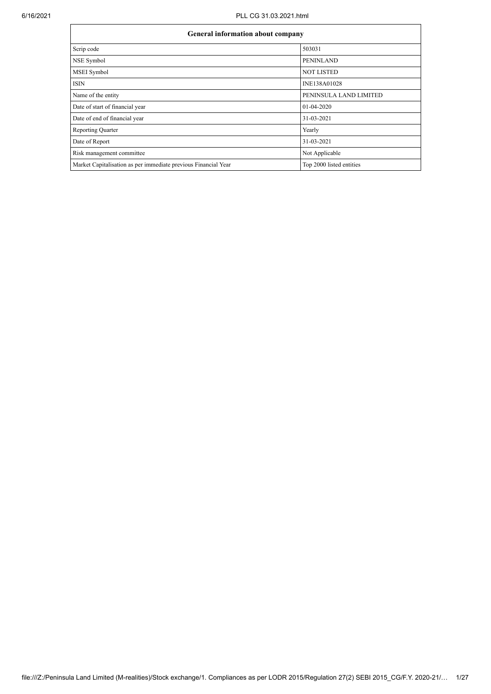| General information about company                              |                          |
|----------------------------------------------------------------|--------------------------|
| Scrip code                                                     | 503031                   |
| NSE Symbol                                                     | <b>PENINLAND</b>         |
| MSEI Symbol                                                    | <b>NOT LISTED</b>        |
| <b>ISIN</b>                                                    | INE138A01028             |
| Name of the entity                                             | PENINSULA LAND LIMITED   |
| Date of start of financial year                                | 01-04-2020               |
| Date of end of financial year                                  | 31-03-2021               |
| <b>Reporting Quarter</b>                                       | Yearly                   |
| Date of Report                                                 | 31-03-2021               |
| Risk management committee                                      | Not Applicable           |
| Market Capitalisation as per immediate previous Financial Year | Top 2000 listed entities |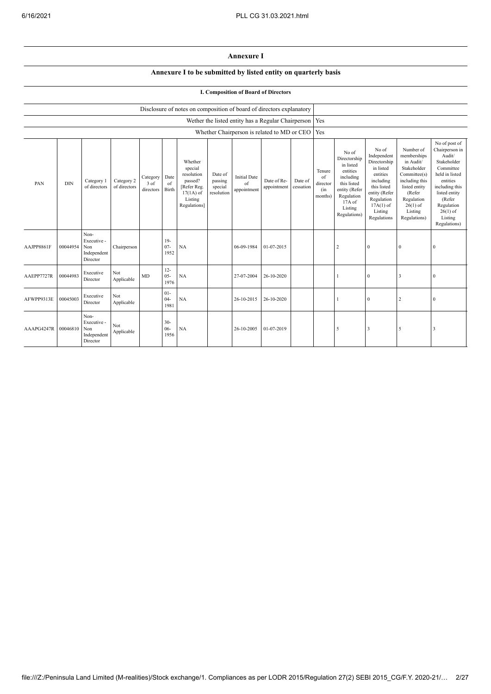## **Annexure I**

## **Annexure I to be submitted by listed entity on quarterly basis**

## **I. Composition of Board of Directors**

|            |            |                                                       |                            |                               |                          | Disclosure of notes on composition of board of directors explanatory                                 |                                             |                                                          |                            |                      |                                            |                                                                                                                                                |                                                                                                                                                                   |                                                                                                                                                                          |                                                                                                                                                                                                         |
|------------|------------|-------------------------------------------------------|----------------------------|-------------------------------|--------------------------|------------------------------------------------------------------------------------------------------|---------------------------------------------|----------------------------------------------------------|----------------------------|----------------------|--------------------------------------------|------------------------------------------------------------------------------------------------------------------------------------------------|-------------------------------------------------------------------------------------------------------------------------------------------------------------------|--------------------------------------------------------------------------------------------------------------------------------------------------------------------------|---------------------------------------------------------------------------------------------------------------------------------------------------------------------------------------------------------|
|            |            |                                                       |                            |                               |                          |                                                                                                      |                                             | Wether the listed entity has a Regular Chairperson   Yes |                            |                      |                                            |                                                                                                                                                |                                                                                                                                                                   |                                                                                                                                                                          |                                                                                                                                                                                                         |
|            |            |                                                       |                            |                               |                          |                                                                                                      |                                             | Whether Chairperson is related to MD or CEO              |                            |                      | Yes                                        |                                                                                                                                                |                                                                                                                                                                   |                                                                                                                                                                          |                                                                                                                                                                                                         |
| PAN        | <b>DIN</b> | Category 1<br>of directors                            | Category 2<br>of directors | Category<br>3 of<br>directors | Date<br>of<br>Birth      | Whether<br>special<br>resolution<br>passed?<br>[Refer Reg.<br>$17(1A)$ of<br>Listing<br>Regulations] | Date of<br>passing<br>special<br>resolution | <b>Initial Date</b><br>of<br>appointment                 | Date of Re-<br>appointment | Date of<br>cessation | Tenure<br>of<br>director<br>(in<br>months) | No of<br>Directorship<br>in listed<br>entities<br>including<br>this listed<br>entity (Refer<br>Regulation<br>17A of<br>Listing<br>Regulations) | No of<br>Independent<br>Directorship<br>in listed<br>entities<br>including<br>this listed<br>entity (Refer<br>Regulation<br>$17A(1)$ of<br>Listing<br>Regulations | Number of<br>memberships<br>in Audit/<br>Stakeholder<br>Committee(s)<br>including this<br>listed entity<br>(Refer<br>Regulation<br>$26(1)$ of<br>Listing<br>Regulations) | No of post of<br>Chairperson in<br>Audit/<br>Stakeholder<br>Committee<br>held in listed<br>entities<br>including this<br>listed entity<br>(Refer<br>Regulation<br>$26(1)$ of<br>Listing<br>Regulations) |
| AAJPP8861F | 00044954   | Non-<br>Executive -<br>Non<br>Independent<br>Director | Chairperson                |                               | $19-$<br>$07 -$<br>1952  | NA                                                                                                   |                                             | 06-09-1984                                               | 01-07-2015                 |                      |                                            | $\overline{2}$                                                                                                                                 | $\mathbf{0}$                                                                                                                                                      | $\theta$                                                                                                                                                                 | $\Omega$                                                                                                                                                                                                |
| AAEPP7727R | 00044983   | Executive<br>Director                                 | Not<br>Applicable          | MD                            | $12 -$<br>$05 -$<br>1976 | NA                                                                                                   |                                             | 27-07-2004                                               | 26-10-2020                 |                      |                                            |                                                                                                                                                | $\mathbf{0}$                                                                                                                                                      | 3                                                                                                                                                                        | $\Omega$                                                                                                                                                                                                |
| AFWPP9313E | 00045003   | Executive<br>Director                                 | Not<br>Applicable          |                               | $01-$<br>$04 -$<br>1981  | NA                                                                                                   |                                             | 26-10-2015                                               | 26-10-2020                 |                      |                                            |                                                                                                                                                | $\theta$                                                                                                                                                          | $\overline{2}$                                                                                                                                                           | $\Omega$                                                                                                                                                                                                |
| AAAPG4247R | 00046810   | Non-<br>Executive -<br>Non<br>Independent<br>Director | Not<br>Applicable          |                               | $30 -$<br>$06 -$<br>1956 | NA                                                                                                   |                                             | 26-10-2005                                               | 01-07-2019                 |                      |                                            | 5                                                                                                                                              | 3                                                                                                                                                                 | 5                                                                                                                                                                        |                                                                                                                                                                                                         |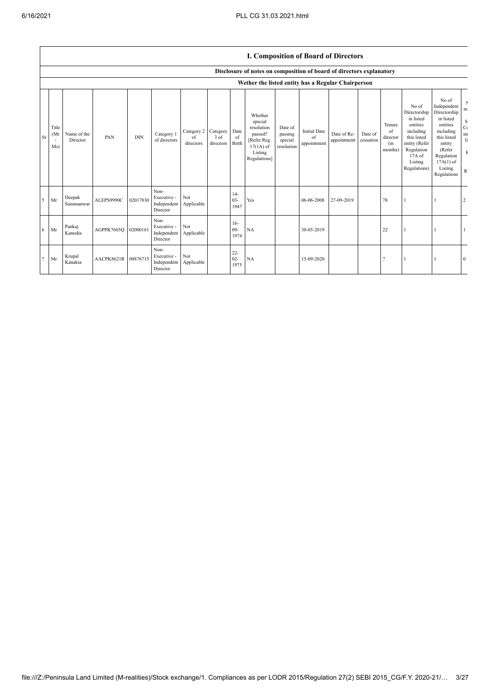|        |                      |                         |            |            |                                                |                               |                               |                          |                                                                                                      |                                             | <b>I. Composition of Board of Directors</b> |                            |                      |                                            |                                                                                                                                                |                                                                                                                                                                      |                                                                                        |
|--------|----------------------|-------------------------|------------|------------|------------------------------------------------|-------------------------------|-------------------------------|--------------------------|------------------------------------------------------------------------------------------------------|---------------------------------------------|---------------------------------------------|----------------------------|----------------------|--------------------------------------------|------------------------------------------------------------------------------------------------------------------------------------------------|----------------------------------------------------------------------------------------------------------------------------------------------------------------------|----------------------------------------------------------------------------------------|
|        |                      |                         |            |            |                                                |                               |                               |                          | Disclosure of notes on composition of board of directors explanatory                                 |                                             |                                             |                            |                      |                                            |                                                                                                                                                |                                                                                                                                                                      |                                                                                        |
|        |                      |                         |            |            |                                                |                               |                               |                          | Wether the listed entity has a Regular Chairperson                                                   |                                             |                                             |                            |                      |                                            |                                                                                                                                                |                                                                                                                                                                      |                                                                                        |
| Sr     | Title<br>(Mr)<br>Ms) | Name of the<br>Director | PAN        | <b>DIN</b> | Category 1<br>of directors                     | Category 2<br>of<br>directors | Category<br>3 of<br>directors | Date<br>of<br>Birth      | Whether<br>special<br>resolution<br>passed?<br>[Refer Reg.<br>$17(1A)$ of<br>Listing<br>Regulations] | Date of<br>passing<br>special<br>resolution | <b>Initial Date</b><br>of<br>appointment    | Date of Re-<br>appointment | Date of<br>cessation | Tenure<br>of<br>director<br>(in<br>months) | No of<br>Directorship<br>in listed<br>entities<br>including<br>this listed<br>entity (Refer<br>Regulation<br>17A of<br>Listing<br>Regulations) | No of<br>Independent<br>Directorship<br>in listed<br>entities<br>including<br>this listed<br>entity<br>(Refer<br>Regulation<br>$17A(1)$ of<br>Listing<br>Regulations | $\mathbf{r}$<br>m<br>S<br>$C\epsilon$<br>in.<br>$\mathbf{li}$<br>$\mathbb F$<br>$\,$ R |
| 5      | Mr                   | Deepak<br>Summanwar     | ALEPS9990C | 02017830   | Non-<br>Executive -<br>Independent<br>Director | Not<br>Applicable             |                               | $14-$<br>$03 -$<br>1947  | Yes                                                                                                  |                                             | 06-06-2008                                  | 27-09-2019                 |                      | 78                                         |                                                                                                                                                |                                                                                                                                                                      | $\overline{2}$                                                                         |
| 6      | Mr                   | Pankaj<br>Kanodia       | AGPPK7665Q | 02000161   | Non-<br>Executive -<br>Independent<br>Director | Not<br>Applicable             |                               | $16-$<br>$09 -$<br>1974  | NA                                                                                                   |                                             | 30-05-2019                                  |                            |                      | 22                                         |                                                                                                                                                |                                                                                                                                                                      |                                                                                        |
| $\tau$ | Mr                   | Krupal<br>Kanakia       | AACPK8621R | 08876715   | Non-<br>Executive -<br>Independent<br>Director | Not<br>Applicable             |                               | $22 -$<br>$02 -$<br>1975 | NA                                                                                                   |                                             | 15-09-2020                                  |                            |                      |                                            |                                                                                                                                                |                                                                                                                                                                      | $\theta$                                                                               |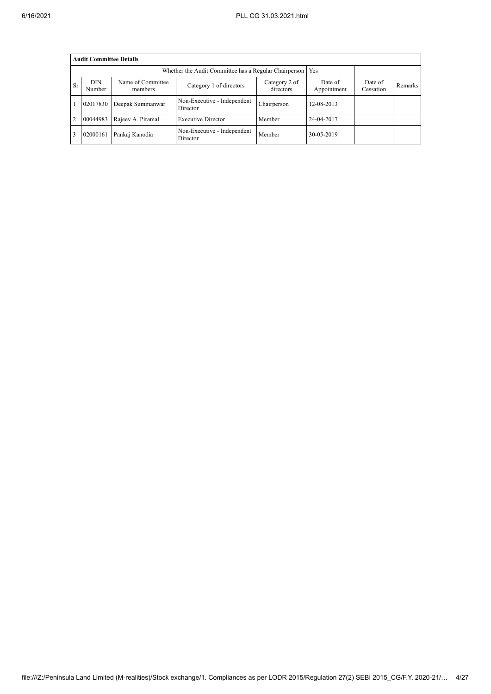|           | <b>Audit Committee Details</b>                              |                        |                                         |             |            |  |  |  |  |  |  |  |
|-----------|-------------------------------------------------------------|------------------------|-----------------------------------------|-------------|------------|--|--|--|--|--|--|--|
|           | Whether the Audit Committee has a Regular Chairperson   Yes |                        |                                         |             |            |  |  |  |  |  |  |  |
| <b>Sr</b> | <b>DIN</b><br>Number                                        | Date of<br>Appointment | Date of<br>Cessation                    | Remarks     |            |  |  |  |  |  |  |  |
|           | 02017830                                                    | Deepak Summanwar       | Non-Executive - Independent<br>Director | Chairperson | 12-08-2013 |  |  |  |  |  |  |  |
| 2         | 00044983                                                    | Rajeev A. Piramal      | <b>Executive Director</b>               | Member      | 24-04-2017 |  |  |  |  |  |  |  |
|           | 02000161                                                    | Pankaj Kanodia         | Non-Executive - Independent<br>Director | Member      | 30-05-2019 |  |  |  |  |  |  |  |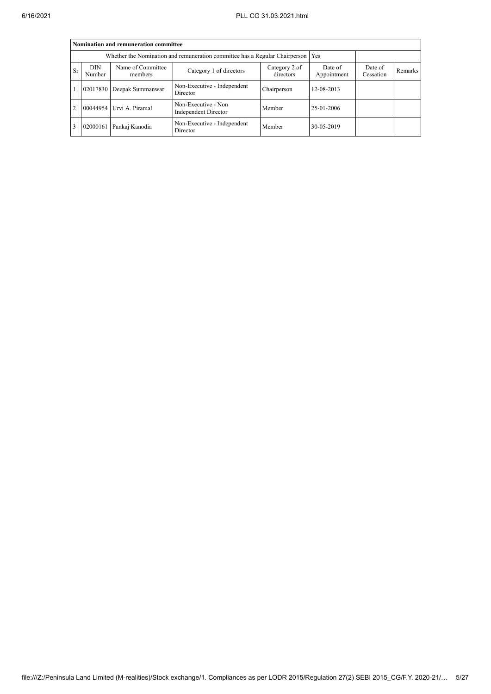|                | Nomination and remuneration committee                                             |                           |                                             |             |            |  |  |  |  |  |  |  |  |
|----------------|-----------------------------------------------------------------------------------|---------------------------|---------------------------------------------|-------------|------------|--|--|--|--|--|--|--|--|
|                | Whether the Nomination and remuneration committee has a Regular Chairperson   Yes |                           |                                             |             |            |  |  |  |  |  |  |  |  |
| <b>Sr</b>      | <b>DIN</b><br>Number                                                              | Date of<br>Cessation      | Remarks                                     |             |            |  |  |  |  |  |  |  |  |
|                |                                                                                   | 02017830 Deepak Summanwar | Non-Executive - Independent<br>Director     | Chairperson | 12-08-2013 |  |  |  |  |  |  |  |  |
| $\overline{2}$ |                                                                                   | 00044954 Urvi A. Piramal  | Non-Executive - Non<br>Independent Director | Member      | 25-01-2006 |  |  |  |  |  |  |  |  |
| 3              | 02000161                                                                          | Pankaj Kanodia            | Non-Executive - Independent<br>Director     | Member      | 30-05-2019 |  |  |  |  |  |  |  |  |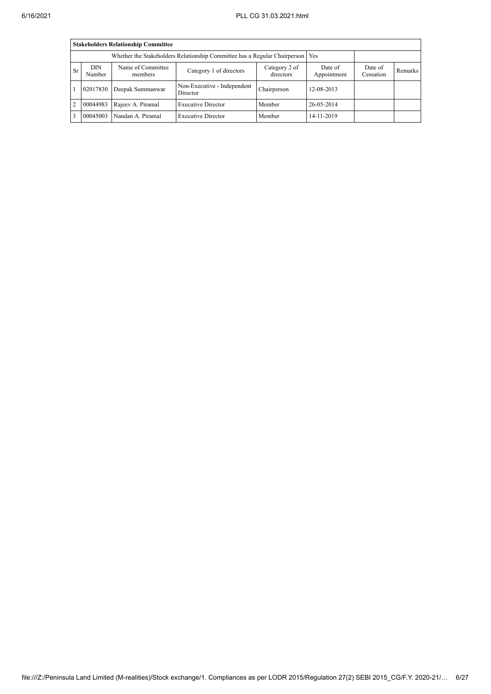|                | <b>Stakeholders Relationship Committee</b>                                      |                              |                                         |                      |            |  |  |  |  |  |  |  |
|----------------|---------------------------------------------------------------------------------|------------------------------|-----------------------------------------|----------------------|------------|--|--|--|--|--|--|--|
|                | Whether the Stakeholders Relationship Committee has a Regular Chairperson   Yes |                              |                                         |                      |            |  |  |  |  |  |  |  |
| <b>Sr</b>      | <b>DIN</b><br>Number                                                            | Name of Committee<br>members | Date of<br>Appointment                  | Date of<br>Cessation | Remarks    |  |  |  |  |  |  |  |
|                | 02017830                                                                        | Deepak Summanwar             | Non-Executive - Independent<br>Director | Chairperson          | 12-08-2013 |  |  |  |  |  |  |  |
| $\overline{2}$ | 00044983                                                                        | Rajeev A. Piramal            | <b>Executive Director</b>               | Member               | 26-05-2014 |  |  |  |  |  |  |  |
| $\mathbf{3}$   | 00045003                                                                        | Nandan A. Piramal            | <b>Executive Director</b>               | Member               | 14-11-2019 |  |  |  |  |  |  |  |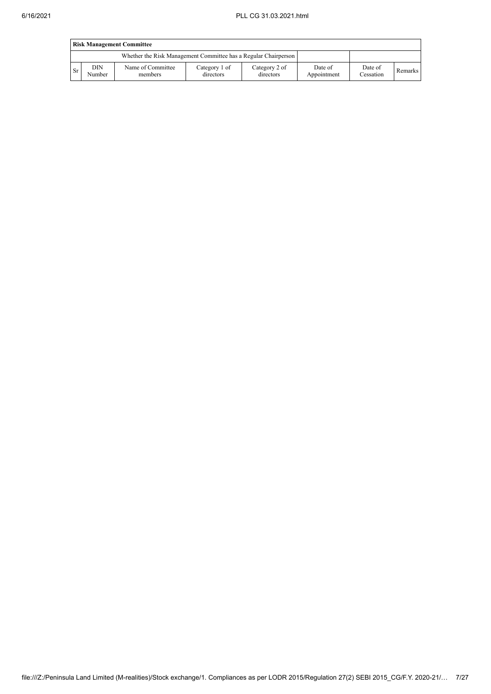|           | <b>Risk Management Committee</b> |                                                                 |                            |                            |                        |                      |         |  |  |  |  |
|-----------|----------------------------------|-----------------------------------------------------------------|----------------------------|----------------------------|------------------------|----------------------|---------|--|--|--|--|
|           |                                  | Whether the Risk Management Committee has a Regular Chairperson |                            |                            |                        |                      |         |  |  |  |  |
| <b>Sr</b> | DIN<br>Number                    | Name of Committee<br>members                                    | Category 1 of<br>directors | Category 2 of<br>directors | Date of<br>Appointment | Date of<br>Cessation | Remarks |  |  |  |  |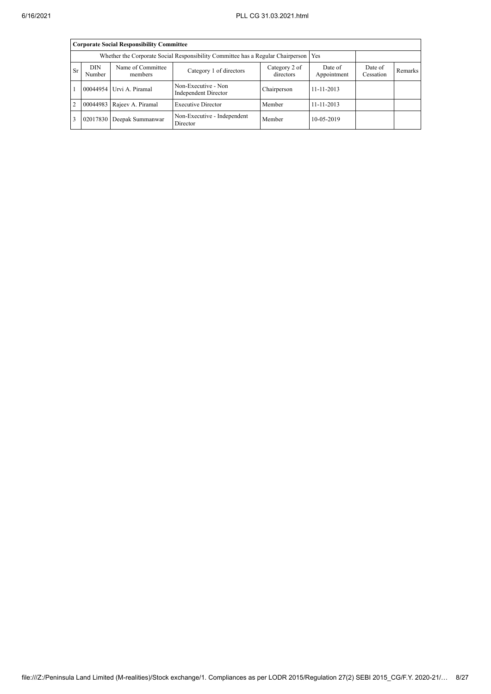|                                                                                                                                                                              | <b>Corporate Social Responsibility Committee</b>                                       |                          |                                             |             |            |  |  |  |  |  |  |  |
|------------------------------------------------------------------------------------------------------------------------------------------------------------------------------|----------------------------------------------------------------------------------------|--------------------------|---------------------------------------------|-------------|------------|--|--|--|--|--|--|--|
|                                                                                                                                                                              | Whether the Corporate Social Responsibility Committee has a Regular Chairperson<br>Yes |                          |                                             |             |            |  |  |  |  |  |  |  |
| <b>DIN</b><br>Name of Committee<br>Category 2 of<br>Date of<br>Date of<br><b>Sr</b><br>Category 1 of directors<br>directors<br>Appointment<br>Number<br>Cessation<br>members |                                                                                        |                          |                                             |             |            |  |  |  |  |  |  |  |
|                                                                                                                                                                              |                                                                                        | 00044954 Urvi A. Piramal | Non-Executive - Non<br>Independent Director | Chairperson | 11-11-2013 |  |  |  |  |  |  |  |
| 2                                                                                                                                                                            | 00044983                                                                               | Rajeev A. Piramal        | <b>Executive Director</b>                   | Member      | 11-11-2013 |  |  |  |  |  |  |  |
|                                                                                                                                                                              | 02017830                                                                               | Deepak Summanwar         | Non-Executive - Independent<br>Director     | Member      | 10-05-2019 |  |  |  |  |  |  |  |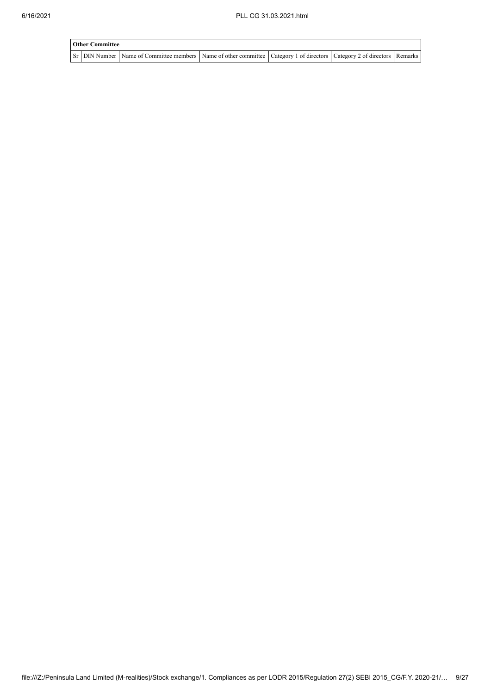| <b>Other Committee</b> |                                                                                                                                     |  |  |
|------------------------|-------------------------------------------------------------------------------------------------------------------------------------|--|--|
|                        | Sr   DIN Number   Name of Committee members   Name of other committee   Category 1 of directors   Category 2 of directors   Remarks |  |  |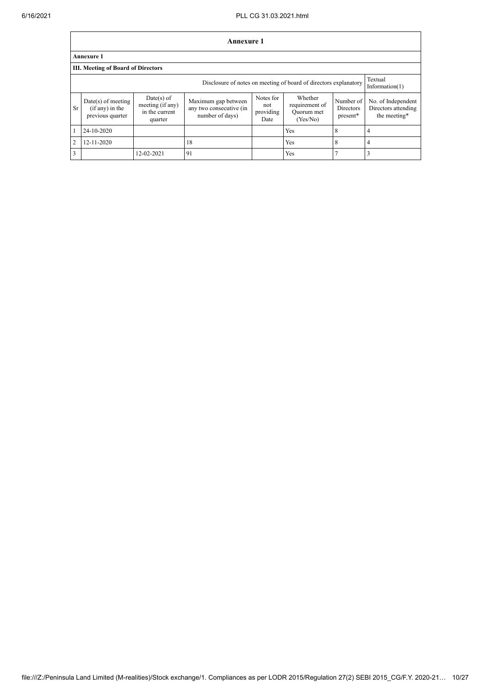|                | Annexure 1                                                                                       |                                                               |                                                                   |                                       |                                                     |                                           |                                                           |  |  |  |  |  |
|----------------|--------------------------------------------------------------------------------------------------|---------------------------------------------------------------|-------------------------------------------------------------------|---------------------------------------|-----------------------------------------------------|-------------------------------------------|-----------------------------------------------------------|--|--|--|--|--|
|                | <b>Annexure 1</b>                                                                                |                                                               |                                                                   |                                       |                                                     |                                           |                                                           |  |  |  |  |  |
|                | <b>III. Meeting of Board of Directors</b>                                                        |                                                               |                                                                   |                                       |                                                     |                                           |                                                           |  |  |  |  |  |
|                | Textual<br>Disclosure of notes on meeting of board of directors explanatory<br>Information $(1)$ |                                                               |                                                                   |                                       |                                                     |                                           |                                                           |  |  |  |  |  |
| <b>Sr</b>      | $Date(s)$ of meeting<br>$(if any)$ in the<br>previous quarter                                    | $Date(s)$ of<br>meeting (if any)<br>in the current<br>quarter | Maximum gap between<br>any two consecutive (in<br>number of days) | Notes for<br>not<br>providing<br>Date | Whether<br>requirement of<br>Quorum met<br>(Yes/No) | Number of<br><b>Directors</b><br>present* | No. of Independent<br>Directors attending<br>the meeting* |  |  |  |  |  |
|                | 24-10-2020                                                                                       |                                                               |                                                                   |                                       | Yes                                                 | 8                                         | 4                                                         |  |  |  |  |  |
| $\overline{2}$ | 12-11-2020                                                                                       |                                                               | 18                                                                |                                       | Yes                                                 | 8                                         | 4                                                         |  |  |  |  |  |
| 3              |                                                                                                  | 12-02-2021                                                    | 91                                                                |                                       | Yes                                                 |                                           |                                                           |  |  |  |  |  |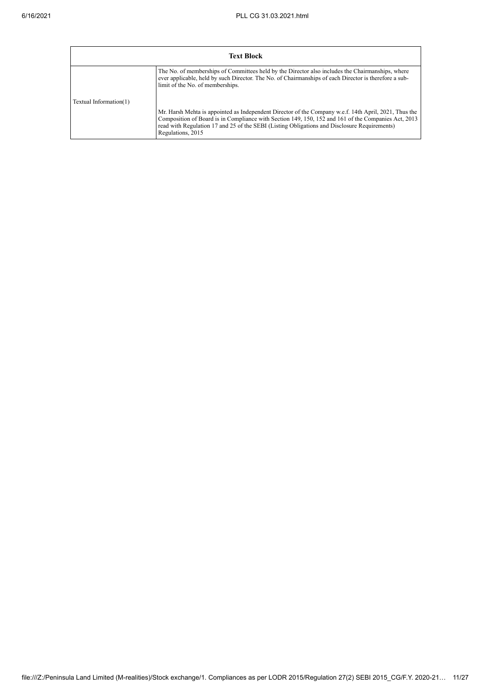|                        | <b>Text Block</b>                                                                                                                                                                                                                                                                                                                 |  |  |  |  |  |  |
|------------------------|-----------------------------------------------------------------------------------------------------------------------------------------------------------------------------------------------------------------------------------------------------------------------------------------------------------------------------------|--|--|--|--|--|--|
|                        | The No. of memberships of Committees held by the Director also includes the Chairmanships, where<br>ever applicable, held by such Director. The No. of Chairmanships of each Director is therefore a sub-<br>limit of the No. of memberships.                                                                                     |  |  |  |  |  |  |
| Textual Information(1) | Mr. Harsh Mehta is appointed as Independent Director of the Company w.e.f. 14th April, 2021, Thus the<br>Composition of Board is in Compliance with Section 149, 150, 152 and 161 of the Companies Act, 2013<br>read with Regulation 17 and 25 of the SEBI (Listing Obligations and Disclosure Requirements)<br>Regulations, 2015 |  |  |  |  |  |  |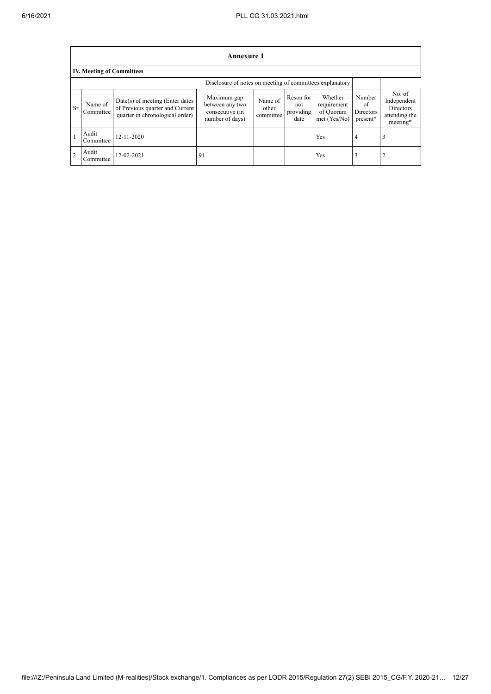$\mathbf{r}$ 

|                | Annexure 1                                               |                                                                                                         |                                                                      |                               |                                       |                                                     |                                       |                                                                        |  |  |  |
|----------------|----------------------------------------------------------|---------------------------------------------------------------------------------------------------------|----------------------------------------------------------------------|-------------------------------|---------------------------------------|-----------------------------------------------------|---------------------------------------|------------------------------------------------------------------------|--|--|--|
|                | <b>IV. Meeting of Committees</b>                         |                                                                                                         |                                                                      |                               |                                       |                                                     |                                       |                                                                        |  |  |  |
|                | Disclosure of notes on meeting of committees explanatory |                                                                                                         |                                                                      |                               |                                       |                                                     |                                       |                                                                        |  |  |  |
| S <sub>r</sub> | Name of<br>Committee                                     | $Date(s)$ of meeting (Enter dates<br>of Previous quarter and Current<br>quarter in chronological order) | Maximum gap<br>between any two<br>consecutive (in<br>number of days) | Name of<br>other<br>committee | Reson for<br>not<br>providing<br>date | Whether<br>requirement<br>of Quorum<br>met (Yes/No) | Number<br>of<br>Directors<br>present* | No. of<br>Independent<br><b>Directors</b><br>attending the<br>meeting* |  |  |  |
|                | Audit<br>Committee                                       | 12-11-2020                                                                                              |                                                                      |                               |                                       | <b>Yes</b>                                          | $\overline{4}$                        | 3                                                                      |  |  |  |
| $\overline{2}$ | Audit<br>Committee                                       | 12-02-2021                                                                                              | 91                                                                   |                               |                                       | Yes                                                 |                                       | $\overline{2}$                                                         |  |  |  |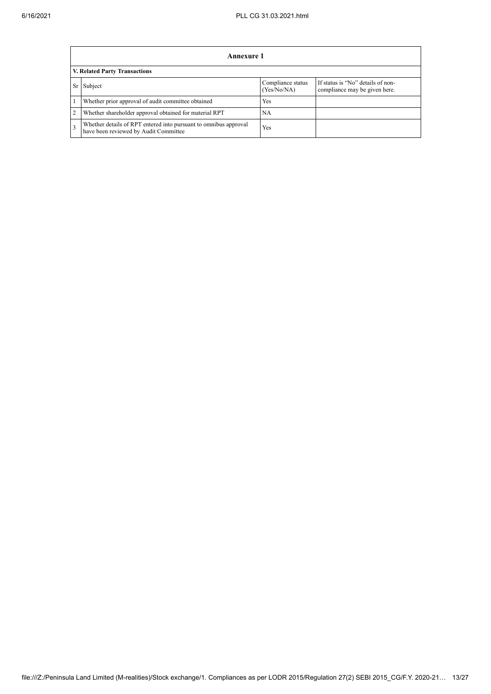|                | Annexure 1                                                                                                |                                  |                                                                    |  |  |  |  |
|----------------|-----------------------------------------------------------------------------------------------------------|----------------------------------|--------------------------------------------------------------------|--|--|--|--|
|                | V. Related Party Transactions                                                                             |                                  |                                                                    |  |  |  |  |
|                | Subject                                                                                                   | Compliance status<br>(Yes/No/NA) | If status is "No" details of non-<br>compliance may be given here. |  |  |  |  |
|                | Whether prior approval of audit committee obtained                                                        | Yes                              |                                                                    |  |  |  |  |
| $\overline{2}$ | Whether shareholder approval obtained for material RPT                                                    | NА                               |                                                                    |  |  |  |  |
| 3              | Whether details of RPT entered into pursuant to omnibus approval<br>have been reviewed by Audit Committee | Yes                              |                                                                    |  |  |  |  |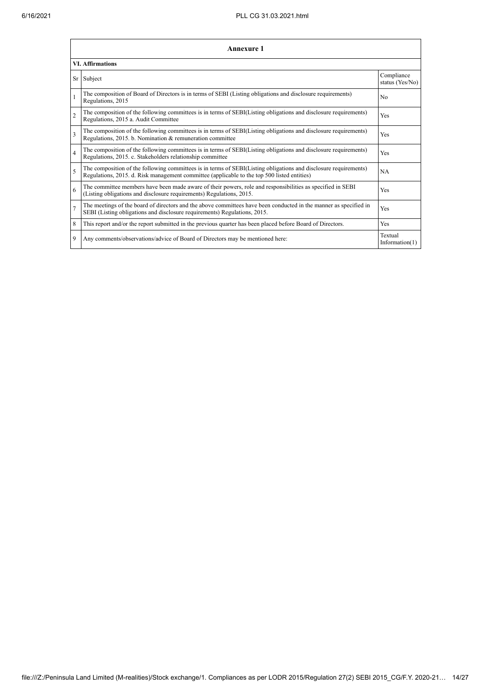|                | Annexure 1                                                                                                                                                                                                      |                               |  |  |  |  |
|----------------|-----------------------------------------------------------------------------------------------------------------------------------------------------------------------------------------------------------------|-------------------------------|--|--|--|--|
|                | <b>VI. Affirmations</b>                                                                                                                                                                                         |                               |  |  |  |  |
| Sr             | Subject                                                                                                                                                                                                         | Compliance<br>status (Yes/No) |  |  |  |  |
| 1              | The composition of Board of Directors is in terms of SEBI (Listing obligations and disclosure requirements)<br>Regulations, 2015                                                                                | N <sub>0</sub>                |  |  |  |  |
| $\overline{2}$ | The composition of the following committees is in terms of SEBI(Listing obligations and disclosure requirements)<br>Regulations, 2015 a. Audit Committee                                                        | Yes                           |  |  |  |  |
| 3              | The composition of the following committees is in terms of SEBI(Listing obligations and disclosure requirements)<br>Regulations, 2015. b. Nomination & remuneration committee                                   | Yes                           |  |  |  |  |
| $\overline{4}$ | The composition of the following committees is in terms of SEBI(Listing obligations and disclosure requirements)<br>Regulations, 2015. c. Stakeholders relationship committee                                   | Yes                           |  |  |  |  |
| 5              | The composition of the following committees is in terms of SEBI(Listing obligations and disclosure requirements)<br>Regulations, 2015. d. Risk management committee (applicable to the top 500 listed entities) | <b>NA</b>                     |  |  |  |  |
| 6              | The committee members have been made aware of their powers, role and responsibilities as specified in SEBI<br>(Listing obligations and disclosure requirements) Regulations, 2015.                              | Yes                           |  |  |  |  |
| $\overline{7}$ | The meetings of the board of directors and the above committees have been conducted in the manner as specified in<br>SEBI (Listing obligations and disclosure requirements) Regulations, 2015.                  | Yes                           |  |  |  |  |
| 8              | This report and/or the report submitted in the previous quarter has been placed before Board of Directors.                                                                                                      | Yes                           |  |  |  |  |
| 9              | Any comments/observations/advice of Board of Directors may be mentioned here:                                                                                                                                   | Textual<br>Information $(1)$  |  |  |  |  |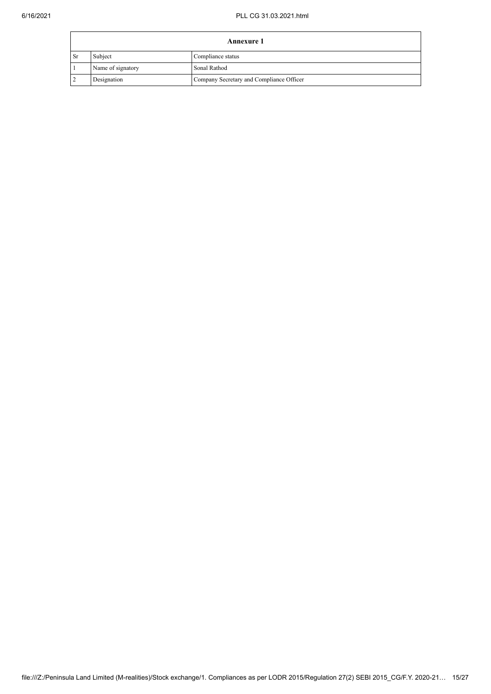|                | <b>Annexure 1</b> |                                          |  |  |  |  |
|----------------|-------------------|------------------------------------------|--|--|--|--|
| <sub>Sr</sub>  | Subject           | Compliance status                        |  |  |  |  |
|                | Name of signatory | Sonal Rathod                             |  |  |  |  |
| $\overline{2}$ | Designation       | Company Secretary and Compliance Officer |  |  |  |  |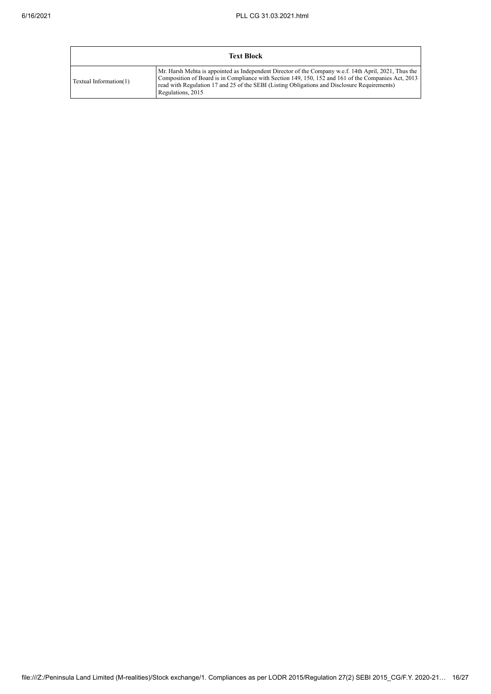| <b>Text Block</b>      |                                                                                                                                                                                                                                                                                                                                   |  |  |  |
|------------------------|-----------------------------------------------------------------------------------------------------------------------------------------------------------------------------------------------------------------------------------------------------------------------------------------------------------------------------------|--|--|--|
| Textual Information(1) | Mr. Harsh Mehta is appointed as Independent Director of the Company w.e.f. 14th April, 2021, Thus the<br>Composition of Board is in Compliance with Section 149, 150, 152 and 161 of the Companies Act, 2013<br>read with Regulation 17 and 25 of the SEBI (Listing Obligations and Disclosure Requirements)<br>Regulations, 2015 |  |  |  |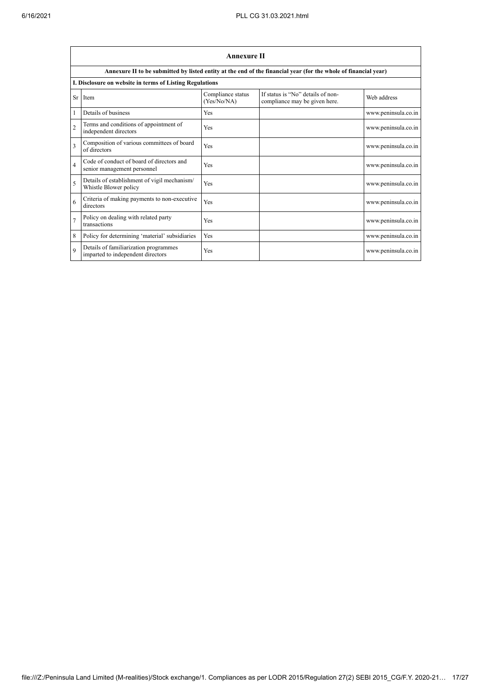$\mathbf{r}$ 

|                         | <b>Annexure II</b>                                                                                              |                                  |                                                                    |                     |  |  |  |
|-------------------------|-----------------------------------------------------------------------------------------------------------------|----------------------------------|--------------------------------------------------------------------|---------------------|--|--|--|
|                         | Annexure II to be submitted by listed entity at the end of the financial year (for the whole of financial year) |                                  |                                                                    |                     |  |  |  |
|                         | I. Disclosure on website in terms of Listing Regulations                                                        |                                  |                                                                    |                     |  |  |  |
| Sr                      | Item                                                                                                            | Compliance status<br>(Yes/No/NA) | If status is "No" details of non-<br>compliance may be given here. | Web address         |  |  |  |
|                         | Details of business                                                                                             | <b>Yes</b>                       |                                                                    | www.peninsula.co.in |  |  |  |
| $\overline{2}$          | Terms and conditions of appointment of<br>independent directors                                                 | Yes                              |                                                                    | www.peninsula.co.in |  |  |  |
| $\overline{\mathbf{3}}$ | Composition of various committees of board<br>of directors                                                      | Yes                              |                                                                    | www.peninsula.co.in |  |  |  |
| $\overline{4}$          | Code of conduct of board of directors and<br>senior management personnel                                        | Yes                              |                                                                    | www.peninsula.co.in |  |  |  |
| 5                       | Details of establishment of vigil mechanism/<br>Whistle Blower policy                                           | Yes                              |                                                                    | www.peninsula.co.in |  |  |  |
| 6                       | Criteria of making payments to non-executive<br>directors                                                       | <b>Yes</b>                       |                                                                    | www.peninsula.co.in |  |  |  |
| $\overline{7}$          | Policy on dealing with related party<br>transactions                                                            | Yes                              |                                                                    | www.peninsula.co.in |  |  |  |
| 8                       | Policy for determining 'material' subsidiaries                                                                  | <b>Yes</b>                       |                                                                    | www.peninsula.co.in |  |  |  |
| $\mathbf Q$             | Details of familiarization programmes<br>imparted to independent directors                                      | Yes                              |                                                                    | www.peninsula.co.in |  |  |  |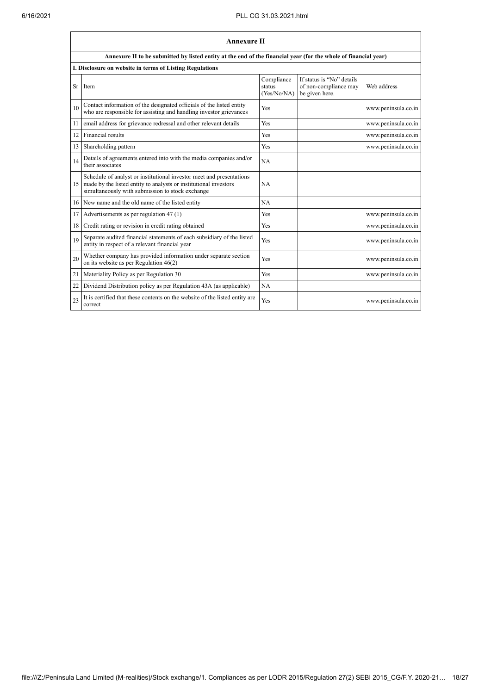|    | <b>Annexure II</b>                                                                                                                                                                           |                                     |                                                                      |                     |  |  |  |
|----|----------------------------------------------------------------------------------------------------------------------------------------------------------------------------------------------|-------------------------------------|----------------------------------------------------------------------|---------------------|--|--|--|
|    | Annexure II to be submitted by listed entity at the end of the financial year (for the whole of financial year)                                                                              |                                     |                                                                      |                     |  |  |  |
|    | I. Disclosure on website in terms of Listing Regulations                                                                                                                                     |                                     |                                                                      |                     |  |  |  |
| Sr | Item                                                                                                                                                                                         | Compliance<br>status<br>(Yes/No/NA) | If status is "No" details<br>of non-compliance may<br>be given here. | Web address         |  |  |  |
| 10 | Contact information of the designated officials of the listed entity<br>who are responsible for assisting and handling investor grievances                                                   | Yes                                 |                                                                      | www.peninsula.co.in |  |  |  |
| 11 | email address for grievance redressal and other relevant details                                                                                                                             | Yes                                 |                                                                      | www.peninsula.co.in |  |  |  |
| 12 | Financial results                                                                                                                                                                            | Yes                                 |                                                                      | www.peninsula.co.in |  |  |  |
| 13 | Shareholding pattern                                                                                                                                                                         | Yes                                 |                                                                      | www.peninsula.co.in |  |  |  |
| 14 | Details of agreements entered into with the media companies and/or<br>their associates                                                                                                       | NA                                  |                                                                      |                     |  |  |  |
| 15 | Schedule of analyst or institutional investor meet and presentations<br>made by the listed entity to analysts or institutional investors<br>simultaneously with submission to stock exchange | <b>NA</b>                           |                                                                      |                     |  |  |  |
| 16 | New name and the old name of the listed entity                                                                                                                                               | <b>NA</b>                           |                                                                      |                     |  |  |  |
| 17 | Advertisements as per regulation 47 (1)                                                                                                                                                      | Yes                                 |                                                                      | www.peninsula.co.in |  |  |  |
| 18 | Credit rating or revision in credit rating obtained                                                                                                                                          | Yes                                 |                                                                      | www.peninsula.co.in |  |  |  |
| 19 | Separate audited financial statements of each subsidiary of the listed<br>entity in respect of a relevant financial year                                                                     | Yes                                 |                                                                      | www.peninsula.co.in |  |  |  |
| 20 | Whether company has provided information under separate section<br>on its website as per Regulation $46(2)$                                                                                  | Yes                                 |                                                                      | www.peninsula.co.in |  |  |  |
| 21 | Materiality Policy as per Regulation 30                                                                                                                                                      | Yes                                 |                                                                      | www.peninsula.co.in |  |  |  |
| 22 | Dividend Distribution policy as per Regulation 43A (as applicable)                                                                                                                           | NA                                  |                                                                      |                     |  |  |  |
| 23 | It is certified that these contents on the website of the listed entity are<br>correct                                                                                                       | Yes                                 |                                                                      | www.peninsula.co.in |  |  |  |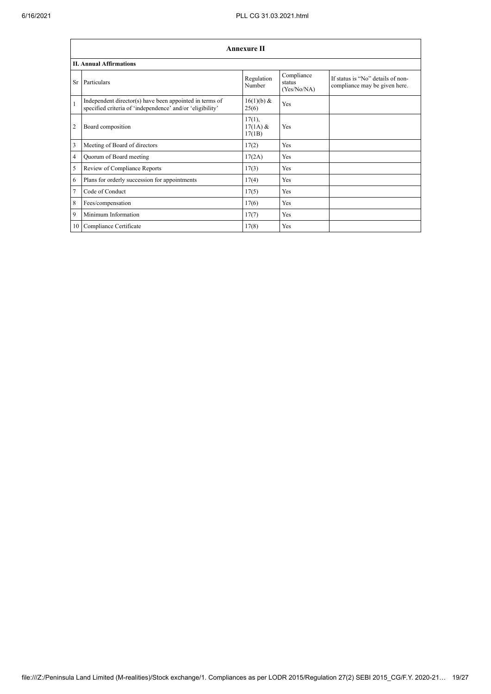|                | <b>Annexure II</b>                                                                                                   |                                |                                     |                                                                    |  |  |  |
|----------------|----------------------------------------------------------------------------------------------------------------------|--------------------------------|-------------------------------------|--------------------------------------------------------------------|--|--|--|
|                | <b>II. Annual Affirmations</b>                                                                                       |                                |                                     |                                                                    |  |  |  |
| Sr             | Particulars                                                                                                          | Regulation<br>Number           | Compliance<br>status<br>(Yes/No/NA) | If status is "No" details of non-<br>compliance may be given here. |  |  |  |
| $\mathbf{1}$   | Independent director(s) have been appointed in terms of<br>specified criteria of 'independence' and/or 'eligibility' | 16(1)(b) &<br>25(6)            | Yes                                 |                                                                    |  |  |  |
| $\overline{2}$ | Board composition                                                                                                    | 17(1),<br>$17(1A)$ &<br>17(1B) | Yes                                 |                                                                    |  |  |  |
| 3              | Meeting of Board of directors                                                                                        | 17(2)                          | Yes                                 |                                                                    |  |  |  |
| $\overline{4}$ | Quorum of Board meeting                                                                                              | 17(2A)                         | Yes                                 |                                                                    |  |  |  |
| 5              | Review of Compliance Reports                                                                                         | 17(3)                          | Yes                                 |                                                                    |  |  |  |
| 6              | Plans for orderly succession for appointments                                                                        | 17(4)                          | Yes                                 |                                                                    |  |  |  |
| $\tau$         | Code of Conduct                                                                                                      | 17(5)                          | Yes                                 |                                                                    |  |  |  |
| 8              | Fees/compensation                                                                                                    | 17(6)                          | Yes                                 |                                                                    |  |  |  |
| 9              | Minimum Information                                                                                                  | 17(7)                          | Yes                                 |                                                                    |  |  |  |
| 10             | Compliance Certificate                                                                                               | 17(8)                          | Yes                                 |                                                                    |  |  |  |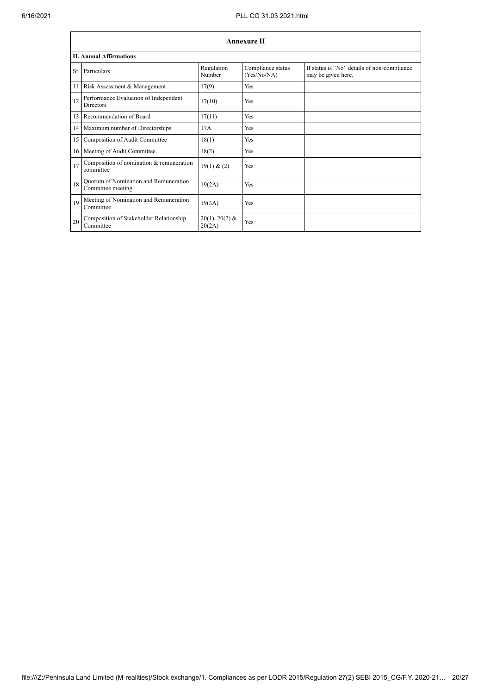|    | <b>Annexure II</b>                                         |                            |                                  |                                                                   |  |  |  |  |
|----|------------------------------------------------------------|----------------------------|----------------------------------|-------------------------------------------------------------------|--|--|--|--|
|    | <b>II. Annual Affirmations</b>                             |                            |                                  |                                                                   |  |  |  |  |
|    | Sr Particulars                                             | Regulation<br>Number       | Compliance status<br>(Yes/No/NA) | If status is "No" details of non-compliance<br>may be given here. |  |  |  |  |
|    | 11 Risk Assessment & Management                            | 17(9)                      | Yes                              |                                                                   |  |  |  |  |
| 12 | Performance Evaluation of Independent<br><b>Directors</b>  | 17(10)                     | Yes                              |                                                                   |  |  |  |  |
|    | 13 Recommendation of Board                                 | 17(11)                     | Yes                              |                                                                   |  |  |  |  |
|    | 14 Maximum number of Directorships                         | 17A                        | Yes                              |                                                                   |  |  |  |  |
| 15 | Composition of Audit Committee                             | 18(1)                      | Yes                              |                                                                   |  |  |  |  |
| 16 | Meeting of Audit Committee                                 | 18(2)                      | Yes                              |                                                                   |  |  |  |  |
| 17 | Composition of nomination & remuneration<br>committee      | 19(1) & (2)                | Yes                              |                                                                   |  |  |  |  |
| 18 | Quorum of Nomination and Remuneration<br>Committee meeting | 19(2A)                     | Yes                              |                                                                   |  |  |  |  |
| 19 | Meeting of Nomination and Remuneration<br>Committee        | 19(3A)                     | Yes                              |                                                                   |  |  |  |  |
| 20 | Composition of Stakeholder Relationship<br>Committee       | $20(1), 20(2)$ &<br>20(2A) | Yes                              |                                                                   |  |  |  |  |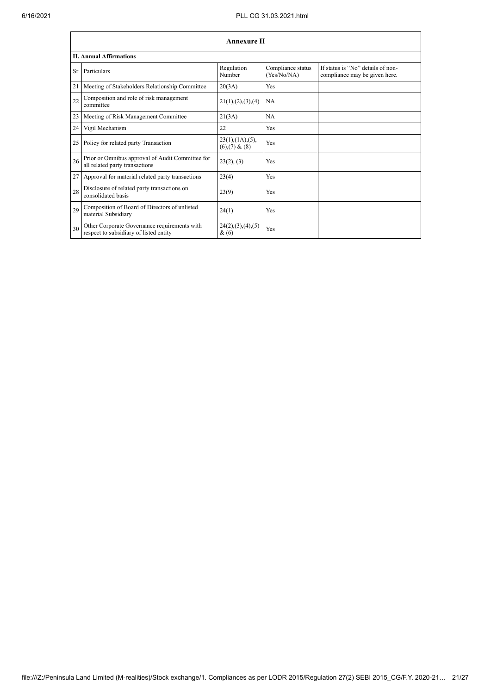|    | <b>Annexure II</b>                                                                     |                                                     |                                  |                                                                    |  |  |  |  |  |
|----|----------------------------------------------------------------------------------------|-----------------------------------------------------|----------------------------------|--------------------------------------------------------------------|--|--|--|--|--|
|    | <b>II. Annual Affirmations</b>                                                         |                                                     |                                  |                                                                    |  |  |  |  |  |
| Sr | Particulars                                                                            | Regulation<br>Number                                | Compliance status<br>(Yes/No/NA) | If status is "No" details of non-<br>compliance may be given here. |  |  |  |  |  |
| 21 | Meeting of Stakeholders Relationship Committee                                         | 20(3A)                                              | Yes                              |                                                                    |  |  |  |  |  |
| 22 | Composition and role of risk management<br>committee                                   | 21(1), (2), (3), (4)                                | <b>NA</b>                        |                                                                    |  |  |  |  |  |
| 23 | Meeting of Risk Management Committee                                                   | 21(3A)                                              | <b>NA</b>                        |                                                                    |  |  |  |  |  |
| 24 | Vigil Mechanism                                                                        | 22                                                  | Yes                              |                                                                    |  |  |  |  |  |
| 25 | Policy for related party Transaction                                                   | $23(1)$ , $(1A)$ , $(5)$ ,<br>$(6)$ , $(7)$ & $(8)$ | Yes                              |                                                                    |  |  |  |  |  |
| 26 | Prior or Omnibus approval of Audit Committee for<br>all related party transactions     | 23(2), (3)                                          | Yes                              |                                                                    |  |  |  |  |  |
| 27 | Approval for material related party transactions                                       | 23(4)                                               | Yes                              |                                                                    |  |  |  |  |  |
| 28 | Disclosure of related party transactions on<br>consolidated basis                      | 23(9)                                               | Yes                              |                                                                    |  |  |  |  |  |
| 29 | Composition of Board of Directors of unlisted<br>material Subsidiary                   | 24(1)                                               | Yes                              |                                                                    |  |  |  |  |  |
| 30 | Other Corporate Governance requirements with<br>respect to subsidiary of listed entity | 24(2),(3),(4),(5)<br>$\&(6)$                        | Yes                              |                                                                    |  |  |  |  |  |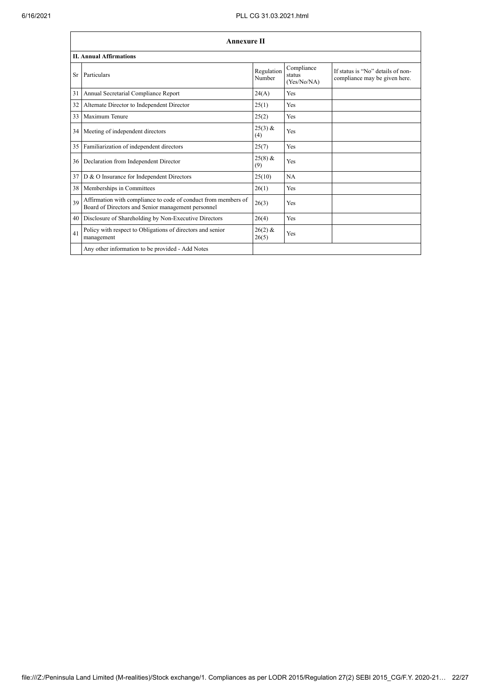|    | <b>Annexure II</b>                                                                                                   |                      |                                     |                                                                    |  |  |  |  |
|----|----------------------------------------------------------------------------------------------------------------------|----------------------|-------------------------------------|--------------------------------------------------------------------|--|--|--|--|
|    | <b>II. Annual Affirmations</b>                                                                                       |                      |                                     |                                                                    |  |  |  |  |
| Sr | Particulars                                                                                                          | Regulation<br>Number | Compliance<br>status<br>(Yes/No/NA) | If status is "No" details of non-<br>compliance may be given here. |  |  |  |  |
| 31 | Annual Secretarial Compliance Report                                                                                 | 24(A)                | Yes                                 |                                                                    |  |  |  |  |
| 32 | Alternate Director to Independent Director                                                                           | 25(1)                | Yes                                 |                                                                    |  |  |  |  |
| 33 | Maximum Tenure                                                                                                       | 25(2)                | Yes                                 |                                                                    |  |  |  |  |
| 34 | Meeting of independent directors                                                                                     | $25(3)$ &<br>(4)     | Yes                                 |                                                                    |  |  |  |  |
| 35 | Familiarization of independent directors                                                                             | 25(7)                | Yes                                 |                                                                    |  |  |  |  |
| 36 | Declaration from Independent Director                                                                                | $25(8)$ &<br>(9)     | Yes                                 |                                                                    |  |  |  |  |
| 37 | D & O Insurance for Independent Directors                                                                            | 25(10)               | NA                                  |                                                                    |  |  |  |  |
| 38 | Memberships in Committees                                                                                            | 26(1)                | Yes                                 |                                                                    |  |  |  |  |
| 39 | Affirmation with compliance to code of conduct from members of<br>Board of Directors and Senior management personnel | 26(3)                | Yes                                 |                                                                    |  |  |  |  |
| 40 | Disclosure of Shareholding by Non-Executive Directors                                                                | 26(4)                | Yes                                 |                                                                    |  |  |  |  |
| 41 | Policy with respect to Obligations of directors and senior<br>management                                             | $26(2)$ &<br>26(5)   | Yes                                 |                                                                    |  |  |  |  |
|    | Any other information to be provided - Add Notes                                                                     |                      |                                     |                                                                    |  |  |  |  |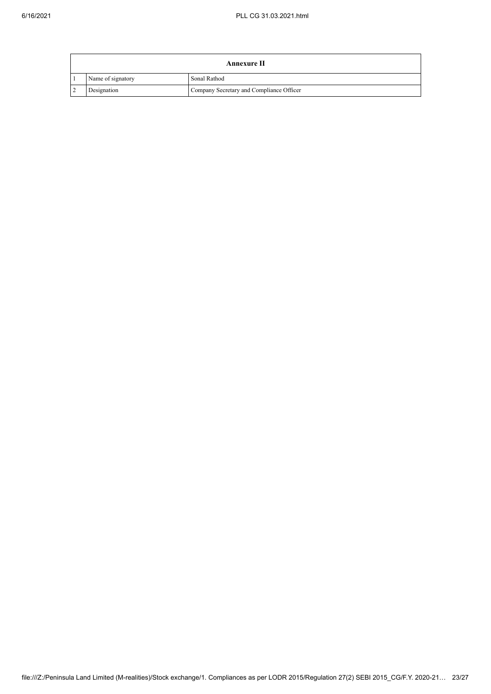| Annexure II       |                                          |  |  |  |
|-------------------|------------------------------------------|--|--|--|
| Name of signatory | Sonal Rathod                             |  |  |  |
| Designation       | Company Secretary and Compliance Officer |  |  |  |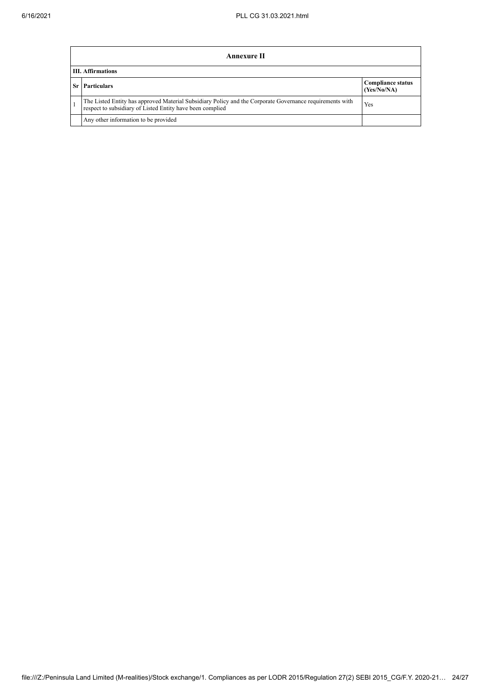| Annexure II                                                                                                                                                           |                                         |  |  |  |
|-----------------------------------------------------------------------------------------------------------------------------------------------------------------------|-----------------------------------------|--|--|--|
| <b>III.</b> Affirmations                                                                                                                                              |                                         |  |  |  |
| <b>Sr</b> Particulars                                                                                                                                                 | <b>Compliance status</b><br>(Yes/No/NA) |  |  |  |
| The Listed Entity has approved Material Subsidiary Policy and the Corporate Governance requirements with<br>respect to subsidiary of Listed Entity have been complied | Yes                                     |  |  |  |
| Any other information to be provided                                                                                                                                  |                                         |  |  |  |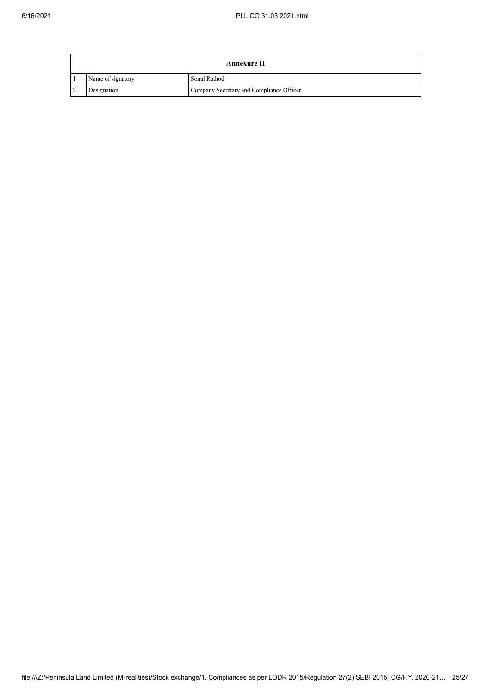| Annexure II |                   |                                          |
|-------------|-------------------|------------------------------------------|
|             | Name of signatory | Sonal Rathod                             |
|             | Designation       | Company Secretary and Compliance Officer |